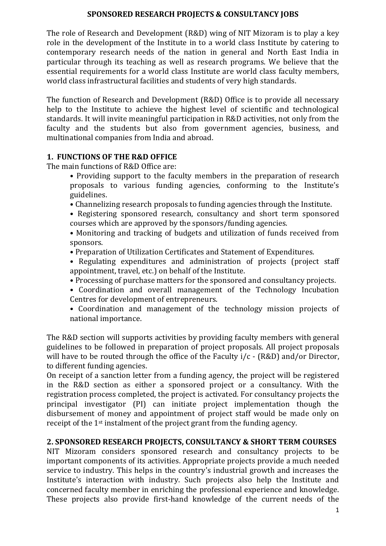#### **SPONSORED RESEARCH PROJECTS & CONSULTANCY JOBS**

The role of Research and Development (R&D) wing of NIT Mizoram is to play a key role in the development of the Institute in to a world class Institute by catering to contemporary research needs of the nation in general and North East India in particular through its teaching as well as research programs. We believe that the essential requirements for a world class Institute are world class faculty members, world class infrastructural facilities and students of very high standards.

The function of Research and Development (R&D) Office is to provide all necessary help to the Institute to achieve the highest level of scientific and technological standards. It will invite meaningful participation in R&D activities, not only from the faculty and the students but also from government agencies, business, and multinational companies from India and abroad.

# **1. FUNCTIONS OF THE R&D OFFICE**

The main functions of R&D Office are:

- Providing support to the faculty members in the preparation of research proposals to various funding agencies, conforming to the Institute's guidelines.
- Channelizing research proposals to funding agencies through the Institute.
- Registering sponsored research, consultancy and short term sponsored courses which are approved by the sponsors/funding agencies.

• Monitoring and tracking of budgets and utilization of funds received from sponsors.

- Preparation of Utilization Certificates and Statement of Expenditures.
- Regulating expenditures and administration of projects (project staff appointment, travel, etc.) on behalf of the Institute.
- Processing of purchase matters for the sponsored and consultancy projects.
- Coordination and overall management of the Technology Incubation Centres for development of entrepreneurs.
- Coordination and management of the technology mission projects of national importance.

The R&D section will supports activities by providing faculty members with general guidelines to be followed in preparation of project proposals. All project proposals will have to be routed through the office of the Faculty  $i/c$  - (R&D) and/or Director, to different funding agencies.

On receipt of a sanction letter from a funding agency, the project will be registered in the R&D section as either a sponsored project or a consultancy. With the registration process completed, the project is activated. For consultancy projects the principal investigator (PI) can initiate project implementation though the disbursement of money and appointment of project staff would be made only on receipt of the 1st instalment of the project grant from the funding agency.

# **2. SPONSORED RESEARCH PROJECTS, CONSULTANCY & SHORT TERM COURSES**

NIT Mizoram considers sponsored research and consultancy projects to be important components of its activities. Appropriate projects provide a much needed service to industry. This helps in the country's industrial growth and increases the Institute's interaction with industry. Such projects also help the Institute and concerned faculty member in enriching the professional experience and knowledge. These projects also provide first-hand knowledge of the current needs of the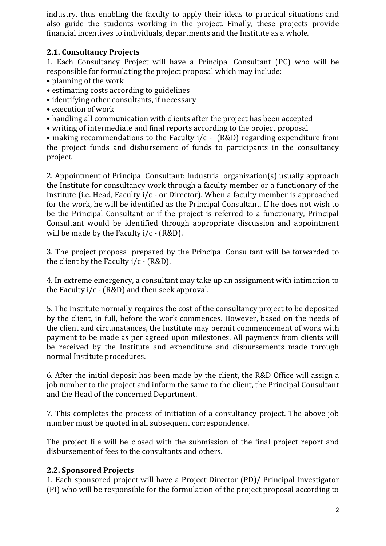industry, thus enabling the faculty to apply their ideas to practical situations and also guide the students working in the project. Finally, these projects provide financial incentives to individuals, departments and the Institute as a whole.

### **2.1. Consultancy Projects**

1. Each Consultancy Project will have a Principal Consultant (PC) who will be responsible for formulating the project proposal which may include:

- planning of the work
- estimating costs according to guidelines
- identifying other consultants, if necessary
- execution of work
- handling all communication with clients after the project has been accepted
- writing of intermediate and final reports according to the project proposal

• making recommendations to the Faculty i/c - (R&D) regarding expenditure from the project funds and disbursement of funds to participants in the consultancy project.

2. Appointment of Principal Consultant: Industrial organization(s) usually approach the Institute for consultancy work through a faculty member or a functionary of the Institute (i.e. Head, Faculty i/c - or Director). When a faculty member is approached for the work, he will be identified as the Principal Consultant. If he does not wish to be the Principal Consultant or if the project is referred to a functionary, Principal Consultant would be identified through appropriate discussion and appointment will be made by the Faculty  $i/c$  - (R&D).

3. The project proposal prepared by the Principal Consultant will be forwarded to the client by the Faculty  $i/c$  - (R&D).

4. In extreme emergency, a consultant may take up an assignment with intimation to the Faculty  $i/c$  - (R&D) and then seek approval.

5. The Institute normally requires the cost of the consultancy project to be deposited by the client, in full, before the work commences. However, based on the needs of the client and circumstances, the Institute may permit commencement of work with payment to be made as per agreed upon milestones. All payments from clients will be received by the Institute and expenditure and disbursements made through normal Institute procedures.

6. After the initial deposit has been made by the client, the R&D Office will assign a job number to the project and inform the same to the client, the Principal Consultant and the Head of the concerned Department.

7. This completes the process of initiation of a consultancy project. The above job number must be quoted in all subsequent correspondence.

The project file will be closed with the submission of the final project report and disbursement of fees to the consultants and others.

#### **2.2. Sponsored Projects**

1. Each sponsored project will have a Project Director (PD)/ Principal Investigator (PI) who will be responsible for the formulation of the project proposal according to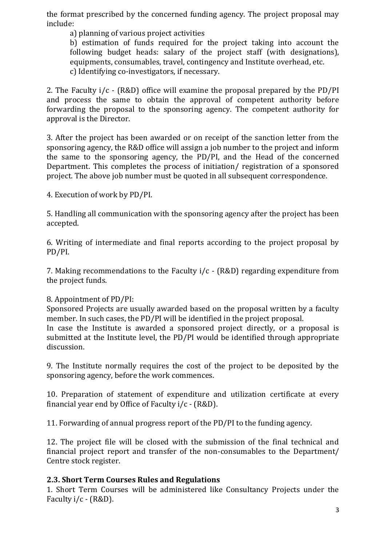the format prescribed by the concerned funding agency. The project proposal may include:

a) planning of various project activities

b) estimation of funds required for the project taking into account the following budget heads: salary of the project staff (with designations), equipments, consumables, travel, contingency and Institute overhead, etc. c) Identifying co-investigators, if necessary.

2. The Faculty  $i/c$  - (R&D) office will examine the proposal prepared by the PD/PI and process the same to obtain the approval of competent authority before forwarding the proposal to the sponsoring agency. The competent authority for approval is the Director.

3. After the project has been awarded or on receipt of the sanction letter from the sponsoring agency, the R&D office will assign a job number to the project and inform the same to the sponsoring agency, the PD/PI, and the Head of the concerned Department. This completes the process of initiation/ registration of a sponsored project. The above job number must be quoted in all subsequent correspondence.

4. Execution of work by PD/PI.

5. Handling all communication with the sponsoring agency after the project has been accepted.

6. Writing of intermediate and final reports according to the project proposal by PD/PI.

7. Making recommendations to the Faculty i/c - (R&D) regarding expenditure from the project funds.

#### 8. Appointment of PD/PI:

Sponsored Projects are usually awarded based on the proposal written by a faculty member. In such cases, the PD/PI will be identified in the project proposal.

In case the Institute is awarded a sponsored project directly, or a proposal is submitted at the Institute level, the PD/PI would be identified through appropriate discussion.

9. The Institute normally requires the cost of the project to be deposited by the sponsoring agency, before the work commences.

10. Preparation of statement of expenditure and utilization certificate at every financial year end by Office of Faculty  $i/c$  - (R&D).

11. Forwarding of annual progress report of the PD/PI to the funding agency.

12. The project file will be closed with the submission of the final technical and financial project report and transfer of the non-consumables to the Department/ Centre stock register.

#### **2.3. Short Term Courses Rules and Regulations**

1. Short Term Courses will be administered like Consultancy Projects under the Faculty i/c - (R&D).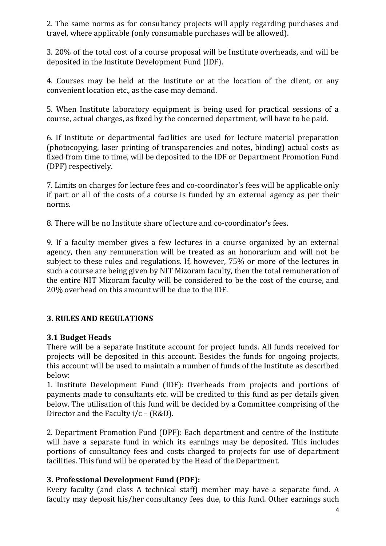2. The same norms as for consultancy projects will apply regarding purchases and travel, where applicable (only consumable purchases will be allowed).

3. 20% of the total cost of a course proposal will be Institute overheads, and will be deposited in the Institute Development Fund (IDF).

4. Courses may be held at the Institute or at the location of the client, or any convenient location etc., as the case may demand.

5. When Institute laboratory equipment is being used for practical sessions of a course, actual charges, as fixed by the concerned department, will have to be paid.

6. If Institute or departmental facilities are used for lecture material preparation (photocopying, laser printing of transparencies and notes, binding) actual costs as fixed from time to time, will be deposited to the IDF or Department Promotion Fund (DPF) respectively.

7. Limits on charges for lecture fees and co-coordinator's fees will be applicable only if part or all of the costs of a course is funded by an external agency as per their norms.

8. There will be no Institute share of lecture and co-coordinator's fees.

9. If a faculty member gives a few lectures in a course organized by an external agency, then any remuneration will be treated as an honorarium and will not be subject to these rules and regulations. If, however, 75% or more of the lectures in such a course are being given by NIT Mizoram faculty, then the total remuneration of the entire NIT Mizoram faculty will be considered to be the cost of the course, and 20% overhead on this amount will be due to the IDF.

#### **3. RULES AND REGULATIONS**

# **3.1 Budget Heads**

There will be a separate Institute account for project funds. All funds received for projects will be deposited in this account. Besides the funds for ongoing projects, this account will be used to maintain a number of funds of the Institute as described below:

1. Institute Development Fund (IDF): Overheads from projects and portions of payments made to consultants etc. will be credited to this fund as per details given below. The utilisation of this fund will be decided by a Committee comprising of the Director and the Faculty  $i/c - (R&D)$ .

2. Department Promotion Fund (DPF): Each department and centre of the Institute will have a separate fund in which its earnings may be deposited. This includes portions of consultancy fees and costs charged to projects for use of department facilities. This fund will be operated by the Head of the Department.

#### **3. Professional Development Fund (PDF):**

Every faculty (and class A technical staff) member may have a separate fund. A faculty may deposit his/her consultancy fees due, to this fund. Other earnings such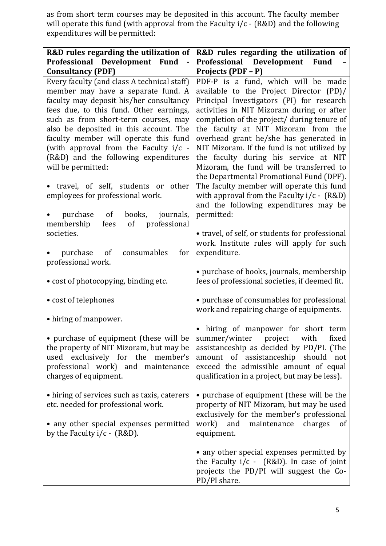as from short term courses may be deposited in this account. The faculty member will operate this fund (with approval from the Faculty i/c - (R&D) and the following expenditures will be permitted:

| R&D rules regarding the utilization of                                                                                                                                                                                                                                                                                                                                                                                                                                              | R&D rules regarding the utilization of                                                                                                                                                                                                                                                                                                                                                                                                                                                                                                                                                                                          |  |
|-------------------------------------------------------------------------------------------------------------------------------------------------------------------------------------------------------------------------------------------------------------------------------------------------------------------------------------------------------------------------------------------------------------------------------------------------------------------------------------|---------------------------------------------------------------------------------------------------------------------------------------------------------------------------------------------------------------------------------------------------------------------------------------------------------------------------------------------------------------------------------------------------------------------------------------------------------------------------------------------------------------------------------------------------------------------------------------------------------------------------------|--|
| Professional Development Fund                                                                                                                                                                                                                                                                                                                                                                                                                                                       | Professional Development<br><b>Fund</b>                                                                                                                                                                                                                                                                                                                                                                                                                                                                                                                                                                                         |  |
| <b>Consultancy (PDF)</b>                                                                                                                                                                                                                                                                                                                                                                                                                                                            | Projects (PDF - P)                                                                                                                                                                                                                                                                                                                                                                                                                                                                                                                                                                                                              |  |
| Every faculty (and class A technical staff)<br>member may have a separate fund. A<br>faculty may deposit his/her consultancy<br>fees due, to this fund. Other earnings,<br>such as from short-term courses, may<br>also be deposited in this account. The<br>faculty member will operate this fund<br>(with approval from the Faculty i/c -<br>(R&D) and the following expenditures<br>will be permitted:<br>travel, of self, students or other<br>employees for professional work. | PDF-P is a fund, which will be made<br>available to the Project Director (PD)/<br>Principal Investigators (PI) for research<br>activities in NIT Mizoram during or after<br>completion of the project/ during tenure of<br>the faculty at NIT Mizoram from the<br>overhead grant he/she has generated in<br>NIT Mizoram. If the fund is not utilized by<br>the faculty during his service at NIT<br>Mizoram, the fund will be transferred to<br>the Departmental Promotional Fund (DPF).<br>The faculty member will operate this fund<br>with approval from the Faculty $i/c - (R &D)$<br>and the following expenditures may be |  |
| books,<br>journals,<br>purchase<br>of<br>$\bullet$<br>of professional<br>membership<br>fees<br>societies.<br>consumables<br>for<br>purchase<br><sub>of</sub>                                                                                                                                                                                                                                                                                                                        | permitted:<br>• travel, of self, or students for professional<br>work. Institute rules will apply for such<br>expenditure.                                                                                                                                                                                                                                                                                                                                                                                                                                                                                                      |  |
| professional work.<br>• cost of photocopying, binding etc.                                                                                                                                                                                                                                                                                                                                                                                                                          | • purchase of books, journals, membership<br>fees of professional societies, if deemed fit.                                                                                                                                                                                                                                                                                                                                                                                                                                                                                                                                     |  |
| • cost of telephones                                                                                                                                                                                                                                                                                                                                                                                                                                                                | • purchase of consumables for professional<br>work and repairing charge of equipments.                                                                                                                                                                                                                                                                                                                                                                                                                                                                                                                                          |  |
| • hiring of manpower.                                                                                                                                                                                                                                                                                                                                                                                                                                                               |                                                                                                                                                                                                                                                                                                                                                                                                                                                                                                                                                                                                                                 |  |
| • purchase of equipment (these will be<br>the property of NIT Mizoram, but may be<br>used exclusively for the member's<br>professional work) and maintenance<br>charges of equipment.                                                                                                                                                                                                                                                                                               | hiring of manpower for short term<br>summer/winter project<br>with<br>fixed<br>assistanceship as decided by PD/PI. (The<br>amount of assistanceship should not<br>exceed the admissible amount of equal<br>qualification in a project, but may be less).                                                                                                                                                                                                                                                                                                                                                                        |  |
| • hiring of services such as taxis, caterers<br>etc. needed for professional work.<br>• any other special expenses permitted<br>by the Faculty $i/c$ - (R&D).                                                                                                                                                                                                                                                                                                                       | • purchase of equipment (these will be the<br>property of NIT Mizoram, but may be used<br>exclusively for the member's professional<br>and<br>work)<br>maintenance<br>charges<br>of<br>equipment.                                                                                                                                                                                                                                                                                                                                                                                                                               |  |
|                                                                                                                                                                                                                                                                                                                                                                                                                                                                                     | • any other special expenses permitted by<br>the Faculty $i/c$ - (R&D). In case of joint<br>projects the PD/PI will suggest the Co-<br>PD/PI share.                                                                                                                                                                                                                                                                                                                                                                                                                                                                             |  |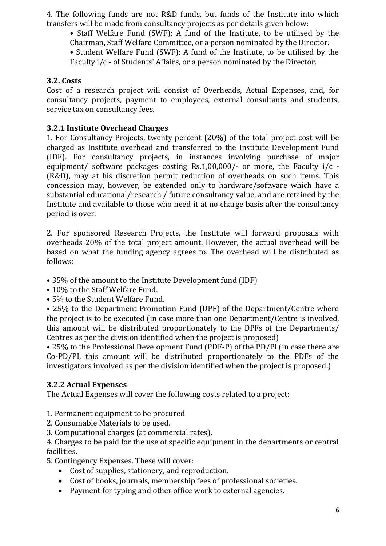4. The following funds are not R&D funds, but funds of the Institute into which transfers will be made from consultancy projects as per details given below:

• Staff Welfare Fund (SWF): A fund of the Institute, to be utilised by the Chairman, Staff Welfare Committee, or a person nominated by the Director.

• Student Welfare Fund (SWF): A fund of the Institute, to be utilised by the Faculty i/c - of Students' Affairs, or a person nominated by the Director.

#### **3.2. Costs**

Cost of a research project will consist of Overheads, Actual Expenses, and, for consultancy projects, payment to employees, external consultants and students, service tax on consultancy fees.

#### **3.2.1 Institute Overhead Charges**

1. For Consultancy Projects, twenty percent (20%) of the total project cost will be charged as Institute overhead and transferred to the Institute Development Fund (IDF). For consultancy projects, in instances involving purchase of major equipment/ software packages costing Rs.1,00,000/- or more, the Faculty i/c - (R&D), may at his discretion permit reduction of overheads on such items. This concession may, however, be extended only to hardware/software which have a substantial educational/research / future consultancy value, and are retained by the Institute and available to those who need it at no charge basis after the consultancy period is over.

2. For sponsored Research Projects, the Institute will forward proposals with overheads 20% of the total project amount. However, the actual overhead will be based on what the funding agency agrees to. The overhead will be distributed as follows:

• 35% of the amount to the Institute Development fund (IDF)

• 10% to the Staff Welfare Fund.

• 5% to the Student Welfare Fund.

• 25% to the Department Promotion Fund (DPF) of the Department/Centre where the project is to be executed (in case more than one Department/Centre is involved, this amount will be distributed proportionately to the DPFs of the Departments/ Centres as per the division identified when the project is proposed)

• 25% to the Professional Development Fund (PDF-P) of the PD/PI (in case there are Co-PD/PI, this amount will be distributed proportionately to the PDFs of the investigators involved as per the division identified when the project is proposed.)

# **3.2.2 Actual Expenses**

The Actual Expenses will cover the following costs related to a project:

1. Permanent equipment to be procured

2. Consumable Materials to be used.

3. Computational charges (at commercial rates).

4. Charges to be paid for the use of specific equipment in the departments or central facilities.

5. Contingency Expenses. These will cover:

- Cost of supplies, stationery, and reproduction.
- Cost of books, journals, membership fees of professional societies.
- Payment for typing and other office work to external agencies.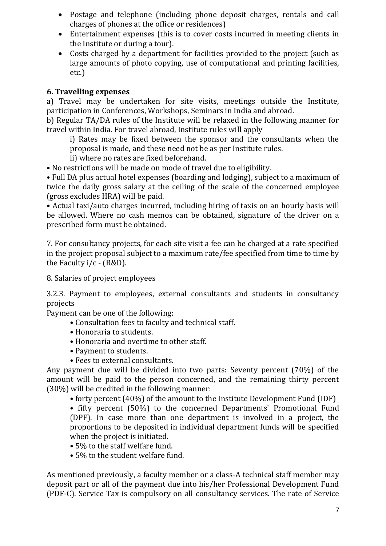- Postage and telephone (including phone deposit charges, rentals and call charges of phones at the office or residences)
- Entertainment expenses (this is to cover costs incurred in meeting clients in the Institute or during a tour).
- Costs charged by a department for facilities provided to the project (such as large amounts of photo copying, use of computational and printing facilities, etc.)

# **6. Travelling expenses**

a) Travel may be undertaken for site visits, meetings outside the Institute, participation in Conferences, Workshops, Seminars in India and abroad.

b) Regular TA/DA rules of the Institute will be relaxed in the following manner for travel within India. For travel abroad, Institute rules will apply

i) Rates may be fixed between the sponsor and the consultants when the proposal is made, and these need not be as per Institute rules.

ii) where no rates are fixed beforehand.

• No restrictions will be made on mode of travel due to eligibility.

• Full DA plus actual hotel expenses (boarding and lodging), subject to a maximum of twice the daily gross salary at the ceiling of the scale of the concerned employee (gross excludes HRA) will be paid.

• Actual taxi/auto charges incurred, including hiring of taxis on an hourly basis will be allowed. Where no cash memos can be obtained, signature of the driver on a prescribed form must be obtained.

7. For consultancy projects, for each site visit a fee can be charged at a rate specified in the project proposal subject to a maximum rate/fee specified from time to time by the Faculty i/c - (R&D).

8. Salaries of project employees

3.2.3. Payment to employees, external consultants and students in consultancy projects

Payment can be one of the following:

- Consultation fees to faculty and technical staff.
- Honoraria to students.
- Honoraria and overtime to other staff.
- Payment to students.
- Fees to external consultants.

Any payment due will be divided into two parts: Seventy percent (70%) of the amount will be paid to the person concerned, and the remaining thirty percent (30%) will be credited in the following manner:

• forty percent (40%) of the amount to the Institute Development Fund (IDF)

• fifty percent (50%) to the concerned Departments' Promotional Fund (DPF). In case more than one department is involved in a project, the proportions to be deposited in individual department funds will be specified when the project is initiated.

- 5% to the staff welfare fund.
- 5% to the student welfare fund.

As mentioned previously, a faculty member or a class-A technical staff member may deposit part or all of the payment due into his/her Professional Development Fund (PDF-C). Service Tax is compulsory on all consultancy services. The rate of Service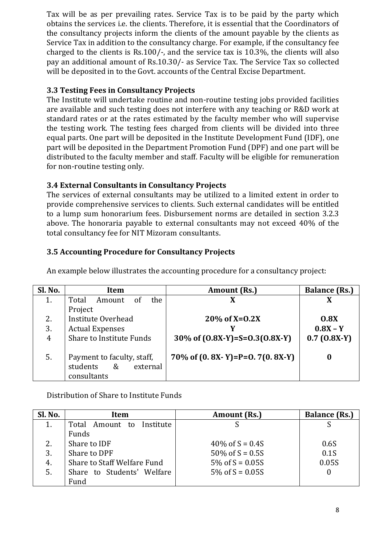Tax will be as per prevailing rates. Service Tax is to be paid by the party which obtains the services i.e. the clients. Therefore, it is essential that the Coordinators of the consultancy projects inform the clients of the amount payable by the clients as Service Tax in addition to the consultancy charge. For example, if the consultancy fee charged to the clients is Rs.100/-, and the service tax is 10.3%, the clients will also pay an additional amount of Rs.10.30/- as Service Tax. The Service Tax so collected will be deposited in to the Govt. accounts of the Central Excise Department.

# **3.3 Testing Fees in Consultancy Projects**

The Institute will undertake routine and non-routine testing jobs provided facilities are available and such testing does not interfere with any teaching or R&D work at standard rates or at the rates estimated by the faculty member who will supervise the testing work. The testing fees charged from clients will be divided into three equal parts. One part will be deposited in the Institute Development Fund (IDF), one part will be deposited in the Department Promotion Fund (DPF) and one part will be distributed to the faculty member and staff. Faculty will be eligible for remuneration for non-routine testing only.

# **3.4 External Consultants in Consultancy Projects**

The services of external consultants may be utilized to a limited extent in order to provide comprehensive services to clients. Such external candidates will be entitled to a lump sum honorarium fees. Disbursement norms are detailed in section 3.2.3 above. The honoraria payable to external consultants may not exceed 40% of the total consultancy fee for NIT Mizoram consultants.

# **3.5 Accounting Procedure for Consultancy Projects**

| Sl. No. | Item                            | <b>Amount (Rs.)</b>              | <b>Balance (Rs.)</b> |
|---------|---------------------------------|----------------------------------|----------------------|
| 1.      | the<br>Total<br>Amount<br>οf    |                                  | X                    |
|         | Project                         |                                  |                      |
| 2.      | Institute Overhead              | $20\%$ of X=0.2X                 | 0.8X                 |
| 3.      | <b>Actual Expenses</b>          |                                  | $0.8X - Y$           |
| 4       | <b>Share to Institute Funds</b> | 30\% of $(0.8X-Y)=S=0.3(0.8X-Y)$ | $0.7(0.8X-Y)$        |
|         |                                 |                                  |                      |
| 5.      | Payment to faculty, staff,      | 70\% of $(0.8X-Y)=P=0.7(0.8X-Y)$ | 0                    |
|         | $\&$<br>students<br>external    |                                  |                      |
|         | consultants                     |                                  |                      |

An example below illustrates the accounting procedure for a consultancy project:

Distribution of Share to Institute Funds

| Sl. No. | Item                            | Amount (Rs.)       | <b>Balance (Rs.)</b> |
|---------|---------------------------------|--------------------|----------------------|
| 1.      | Total<br>Amount to<br>Institute |                    |                      |
|         | Funds                           |                    |                      |
| 2.      | Share to IDF                    | 40\% of $S = 0.4S$ | 0.6S                 |
| 3.      | Share to DPF                    | 50\% of $S = 0.5S$ | 0.1S                 |
| 4.      | Share to Staff Welfare Fund     | 5\% of $S = 0.05S$ | 0.05S                |
| 5.      | Share to Students' Welfare      | 5\% of $S = 0.05S$ | 0                    |
|         | Fund                            |                    |                      |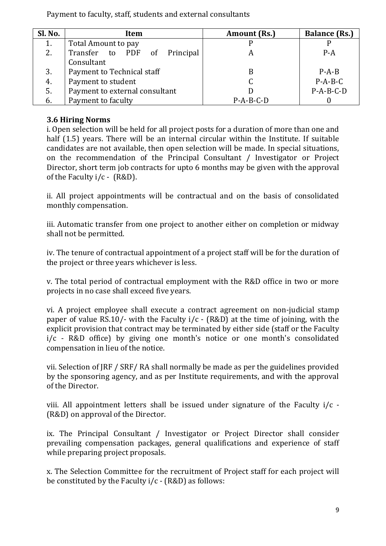Payment to faculty, staff, students and external consultants

| Sl. No. | Item                            | Amount (Rs.) | <b>Balance (Rs.)</b> |
|---------|---------------------------------|--------------|----------------------|
| 1.      | Total Amount to pay             |              |                      |
| 2.      | Transfer to PDF of<br>Principal |              | $P - A$              |
|         | Consultant                      |              |                      |
| 3.      | Payment to Technical staff      | B            | $P - A - B$          |
| 4.      | Payment to student              |              | $P-A-B-C$            |
| 5.      | Payment to external consultant  |              | $P-A-B-C-D$          |
| 6.      | Payment to faculty              | $P-A-B-C-D$  |                      |

# **3.6 Hiring Norms**

i. Open selection will be held for all project posts for a duration of more than one and half (1.5) years. There will be an internal circular within the Institute. If suitable candidates are not available, then open selection will be made. In special situations, on the recommendation of the Principal Consultant / Investigator or Project Director, short term job contracts for upto 6 months may be given with the approval of the Faculty i/c - (R&D).

ii. All project appointments will be contractual and on the basis of consolidated monthly compensation.

iii. Automatic transfer from one project to another either on completion or midway shall not be permitted.

iv. The tenure of contractual appointment of a project staff will be for the duration of the project or three years whichever is less.

v. The total period of contractual employment with the R&D office in two or more projects in no case shall exceed five years.

vi. A project employee shall execute a contract agreement on non-judicial stamp paper of value RS.10/- with the Faculty i/c - (R&D) at the time of joining, with the explicit provision that contract may be terminated by either side (staff or the Faculty i/c - R&D office) by giving one month's notice or one month's consolidated compensation in lieu of the notice.

vii. Selection of JRF / SRF/ RA shall normally be made as per the guidelines provided by the sponsoring agency, and as per Institute requirements, and with the approval of the Director.

viii. All appointment letters shall be issued under signature of the Faculty i/c - (R&D) on approval of the Director.

ix. The Principal Consultant / Investigator or Project Director shall consider prevailing compensation packages, general qualifications and experience of staff while preparing project proposals.

x. The Selection Committee for the recruitment of Project staff for each project will be constituted by the Faculty  $i/c$  - (R&D) as follows: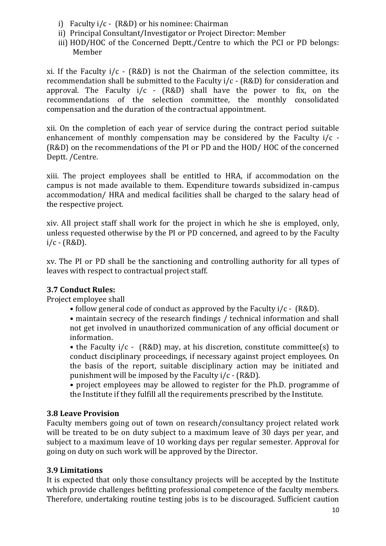- i) Faculty i/c (R&D) or his nominee: Chairman
- ii) Principal Consultant/Investigator or Project Director: Member
- iii) HOD/HOC of the Concerned Deptt./Centre to which the PCI or PD belongs: Member

xi. If the Faculty  $i/c$  - (R&D) is not the Chairman of the selection committee, its recommendation shall be submitted to the Faculty i/c - (R&D) for consideration and approval. The Faculty  $i/c$  - (R&D) shall have the power to fix, on the recommendations of the selection committee, the monthly consolidated compensation and the duration of the contractual appointment.

xii. On the completion of each year of service during the contract period suitable enhancement of monthly compensation may be considered by the Faculty i/c - (R&D) on the recommendations of the PI or PD and the HOD/ HOC of the concerned Deptt. /Centre.

xiii. The project employees shall be entitled to HRA, if accommodation on the campus is not made available to them. Expenditure towards subsidized in-campus accommodation/ HRA and medical facilities shall be charged to the salary head of the respective project.

xiv. All project staff shall work for the project in which he she is employed, only, unless requested otherwise by the PI or PD concerned, and agreed to by the Faculty  $i/c - (R&D)$ .

xv. The PI or PD shall be the sanctioning and controlling authority for all types of leaves with respect to contractual project staff.

# **3.7 Conduct Rules:**

Project employee shall

• follow general code of conduct as approved by the Faculty i/c - (R&D).

• maintain secrecy of the research findings / technical information and shall not get involved in unauthorized communication of any official document or information.

• the Faculty i/c - (R&D) may, at his discretion, constitute committee(s) to conduct disciplinary proceedings, if necessary against project employees. On the basis of the report, suitable disciplinary action may be initiated and punishment will be imposed by the Faculty i/c - (R&D).

• project employees may be allowed to register for the Ph.D. programme of the Institute if they fulfill all the requirements prescribed by the Institute.

# **3.8 Leave Provision**

Faculty members going out of town on research/consultancy project related work will be treated to be on duty subject to a maximum leave of 30 days per year, and subject to a maximum leave of 10 working days per regular semester. Approval for going on duty on such work will be approved by the Director.

# **3.9 Limitations**

It is expected that only those consultancy projects will be accepted by the Institute which provide challenges befitting professional competence of the faculty members. Therefore, undertaking routine testing jobs is to be discouraged. Sufficient caution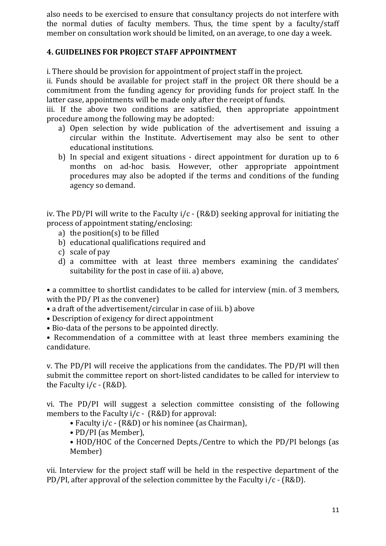also needs to be exercised to ensure that consultancy projects do not interfere with the normal duties of faculty members. Thus, the time spent by a faculty/staff member on consultation work should be limited, on an average, to one day a week.

### **4. GUIDELINES FOR PROJECT STAFF APPOINTMENT**

i. There should be provision for appointment of project staff in the project.

ii. Funds should be available for project staff in the project OR there should be a commitment from the funding agency for providing funds for project staff. In the latter case, appointments will be made only after the receipt of funds.

iii. If the above two conditions are satisfied, then appropriate appointment procedure among the following may be adopted:

- a) Open selection by wide publication of the advertisement and issuing a circular within the Institute. Advertisement may also be sent to other educational institutions.
- b) In special and exigent situations direct appointment for duration up to 6 months on ad-hoc basis. However, other appropriate appointment procedures may also be adopted if the terms and conditions of the funding agency so demand.

iv. The PD/PI will write to the Faculty  $i/c$  - (R&D) seeking approval for initiating the process of appointment stating/enclosing:

- a) the position(s) to be filled
- b) educational qualifications required and
- c) scale of pay
- d) a committee with at least three members examining the candidates' suitability for the post in case of iii. a) above,

• a committee to shortlist candidates to be called for interview (min. of 3 members, with the PD/ PI as the convener)

- a draft of the advertisement/circular in case of iii. b) above
- Description of exigency for direct appointment
- Bio-data of the persons to be appointed directly.

• Recommendation of a committee with at least three members examining the candidature.

v. The PD/PI will receive the applications from the candidates. The PD/PI will then submit the committee report on short-listed candidates to be called for interview to the Faculty i/c - (R&D).

vi. The PD/PI will suggest a selection committee consisting of the following members to the Faculty i/c - (R&D) for approval:

- Faculty i/c (R&D) or his nominee (as Chairman),
- PD/PI (as Member),
- HOD/HOC of the Concerned Depts./Centre to which the PD/PI belongs (as Member)

vii. Interview for the project staff will be held in the respective department of the PD/PI, after approval of the selection committee by the Faculty i/c - (R&D).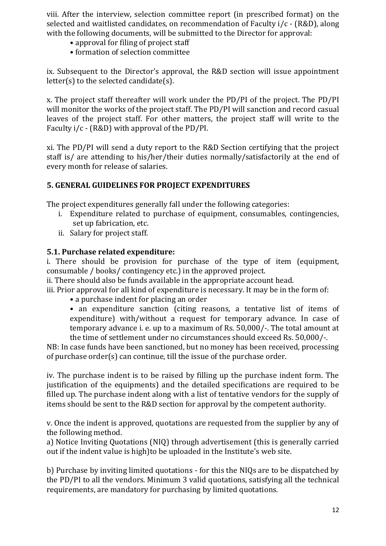viii. After the interview, selection committee report (in prescribed format) on the selected and waitlisted candidates, on recommendation of Faculty i/c - (R&D), along with the following documents, will be submitted to the Director for approval:

- approval for filing of project staff
- formation of selection committee

ix. Subsequent to the Director's approval, the R&D section will issue appointment  $letter(s)$  to the selected candidate $(s)$ .

x. The project staff thereafter will work under the PD/PI of the project. The PD/PI will monitor the works of the project staff. The PD/PI will sanction and record casual leaves of the project staff. For other matters, the project staff will write to the Faculty i/c - (R&D) with approval of the PD/PI.

xi. The PD/PI will send a duty report to the R&D Section certifying that the project staff is/ are attending to his/her/their duties normally/satisfactorily at the end of every month for release of salaries.

#### **5. GENERAL GUIDELINES FOR PROJECT EXPENDITURES**

The project expenditures generally fall under the following categories:

- i. Expenditure related to purchase of equipment, consumables, contingencies, set up fabrication, etc.
- ii. Salary for project staff.

#### **5.1. Purchase related expenditure:**

i. There should be provision for purchase of the type of item (equipment, consumable / books/ contingency etc.) in the approved project.

ii. There should also be funds available in the appropriate account head.

iii. Prior approval for all kind of expenditure is necessary. It may be in the form of:

- a purchase indent for placing an order
- an expenditure sanction (citing reasons, a tentative list of items of expenditure) with/without a request for temporary advance. In case of temporary advance i. e. up to a maximum of Rs. 50,000/-. The total amount at the time of settlement under no circumstances should exceed Rs. 50,000/-.

NB: In case funds have been sanctioned, but no money has been received, processing of purchase order(s) can continue, till the issue of the purchase order.

iv. The purchase indent is to be raised by filling up the purchase indent form. The justification of the equipments) and the detailed specifications are required to be filled up. The purchase indent along with a list of tentative vendors for the supply of items should be sent to the R&D section for approval by the competent authority.

v. Once the indent is approved, quotations are requested from the supplier by any of the following method.

a) Notice Inviting Quotations (NIQ) through advertisement (this is generally carried out if the indent value is high)to be uploaded in the Institute's web site.

b) Purchase by inviting limited quotations - for this the NIQs are to be dispatched by the PD/PI to all the vendors. Minimum 3 valid quotations, satisfying all the technical requirements, are mandatory for purchasing by limited quotations.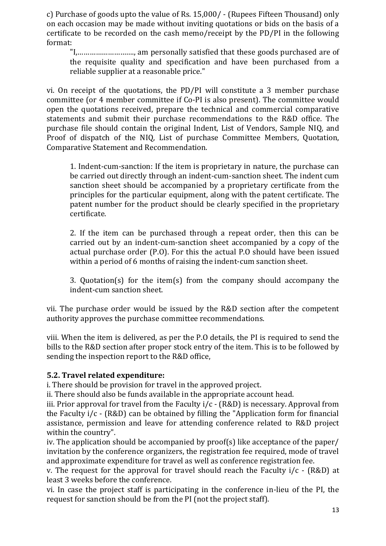c) Purchase of goods upto the value of Rs. 15,000/ - (Rupees Fifteen Thousand) only on each occasion may be made without inviting quotations or bids on the basis of a certificate to be recorded on the cash memo/receipt by the PD/PI in the following format:

"I,………………………., am personally satisfied that these goods purchased are of the requisite quality and specification and have been purchased from a reliable supplier at a reasonable price."

vi. On receipt of the quotations, the PD/PI will constitute a 3 member purchase committee (or 4 member committee if Co-PI is also present). The committee would open the quotations received, prepare the technical and commercial comparative statements and submit their purchase recommendations to the R&D office. The purchase file should contain the original Indent, List of Vendors, Sample NIQ, and Proof of dispatch of the NIQ, List of purchase Committee Members, Quotation, Comparative Statement and Recommendation.

1. Indent-cum-sanction: If the item is proprietary in nature, the purchase can be carried out directly through an indent-cum-sanction sheet. The indent cum sanction sheet should be accompanied by a proprietary certificate from the principles for the particular equipment, along with the patent certificate. The patent number for the product should be clearly specified in the proprietary certificate.

2. If the item can be purchased through a repeat order, then this can be carried out by an indent-cum-sanction sheet accompanied by a copy of the actual purchase order (P.O). For this the actual P.O should have been issued within a period of 6 months of raising the indent-cum sanction sheet.

3. Quotation(s) for the item(s) from the company should accompany the indent-cum sanction sheet.

vii. The purchase order would be issued by the R&D section after the competent authority approves the purchase committee recommendations.

viii. When the item is delivered, as per the P.O details, the PI is required to send the bills to the R&D section after proper stock entry of the item. This is to be followed by sending the inspection report to the R&D office,

#### **5.2. Travel related expenditure:**

i. There should be provision for travel in the approved project.

ii. There should also be funds available in the appropriate account head.

iii. Prior approval for travel from the Faculty  $i/c$  - (R&D) is necessary. Approval from the Faculty i/c - (R&D) can be obtained by filling the "Application form for financial assistance, permission and leave for attending conference related to R&D project within the country".

iv. The application should be accompanied by proof(s) like acceptance of the paper/ invitation by the conference organizers, the registration fee required, mode of travel and approximate expenditure for travel as well as conference registration fee.

v. The request for the approval for travel should reach the Faculty  $i/c$  - (R&D) at least 3 weeks before the conference.

vi. In case the project staff is participating in the conference in-lieu of the PI, the request for sanction should be from the PI (not the project staff).